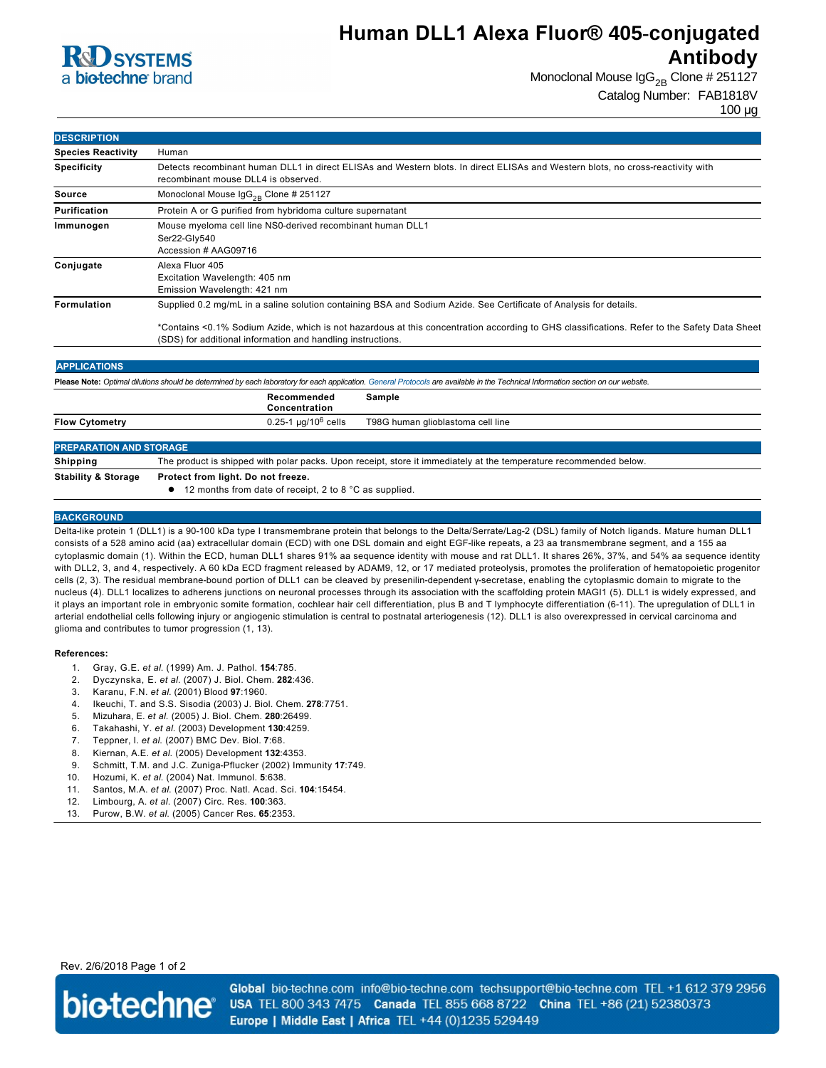

## **Human DLL1 Alexa Fluor® 405-conjugated Antibody**

Monoclonal Mouse  $\lg G_{2B}$  Clone # 251127

Catalog Number: FAB1818V

100 µg

| <b>DESCRIPTION</b>             |                                                                                                                                                                                   |
|--------------------------------|-----------------------------------------------------------------------------------------------------------------------------------------------------------------------------------|
| <b>Species Reactivity</b>      | Human                                                                                                                                                                             |
| <b>Specificity</b>             | Detects recombinant human DLL1 in direct ELISAs and Western blots. In direct ELISAs and Western blots, no cross-reactivity with                                                   |
|                                | recombinant mouse DLL4 is observed.                                                                                                                                               |
| Source                         | Monoclonal Mouse $\text{lgG}_{2B}$ Clone # 251127                                                                                                                                 |
| <b>Purification</b>            | Protein A or G purified from hybridoma culture supernatant                                                                                                                        |
| Immunogen                      | Mouse myeloma cell line NS0-derived recombinant human DLL1                                                                                                                        |
|                                | Ser22-Gly540                                                                                                                                                                      |
|                                | Accession # AAG09716                                                                                                                                                              |
| Conjugate                      | Alexa Fluor 405                                                                                                                                                                   |
|                                | Excitation Wavelength: 405 nm                                                                                                                                                     |
|                                | Emission Wavelength: 421 nm                                                                                                                                                       |
| <b>Formulation</b>             | Supplied 0.2 mg/mL in a saline solution containing BSA and Sodium Azide. See Certificate of Analysis for details.                                                                 |
|                                | *Contains <0.1% Sodium Azide, which is not hazardous at this concentration according to GHS classifications. Refer to the Safety Data Sheet                                       |
|                                | (SDS) for additional information and handling instructions.                                                                                                                       |
|                                |                                                                                                                                                                                   |
| <b>APPLICATIONS</b>            |                                                                                                                                                                                   |
|                                | Please Note: Optimal dilutions should be determined by each laboratory for each application. General Protocols are available in the Technical Information section on our website. |
|                                | Recommended<br><b>Sample</b><br>Concentration                                                                                                                                     |
| <b>Flow Cytometry</b>          | $0.25 - 1$ µg/10 <sup>6</sup> cells<br>T98G human glioblastoma cell line                                                                                                          |
|                                |                                                                                                                                                                                   |
| <b>PREPARATION AND STORAGE</b> |                                                                                                                                                                                   |
| <b>Shipping</b>                | The product is shipped with polar packs. Upon receipt, store it immediately at the temperature recommended below.                                                                 |
| <b>Stability &amp; Storage</b> | Protect from light. Do not freeze.                                                                                                                                                |

● 12 months from date of receipt, 2 to 8 °C as supplied.

#### **BACKGROUND**

Delta-like protein 1 (DLL1) is a 90-100 kDa type I transmembrane protein that belongs to the Delta/Serrate/Lag-2 (DSL) family of Notch ligands. Mature human DLL1 consists of a 528 amino acid (aa) extracellular domain (ECD) with one DSL domain and eight EGF-like repeats, a 23 aa transmembrane segment, and a 155 aa cytoplasmic domain (1). Within the ECD, human DLL1 shares 91% aa sequence identity with mouse and rat DLL1. It shares 26%, 37%, and 54% aa sequence identity with DLL2, 3, and 4, respectively. A 60 kDa ECD fragment released by ADAM9, 12, or 17 mediated proteolysis, promotes the proliferation of hematopoietic progenitor cells (2, 3). The residual membrane-bound portion of DLL1 can be cleaved by presenilin-dependent γ-secretase, enabling the cytoplasmic domain to migrate to the nucleus (4). DLL1 localizes to adherens junctions on neuronal processes through its association with the scaffolding protein MAGI1 (5). DLL1 is widely expressed, and it plays an important role in embryonic somite formation, cochlear hair cell differentiation, plus B and T lymphocyte differentiation (6-11). The upregulation of DLL1 in arterial endothelial cells following injury or angiogenic stimulation is central to postnatal arteriogenesis (12). DLL1 is also overexpressed in cervical carcinoma and glioma and contributes to tumor progression (1, 13).

#### **References:**

- 1. Gray, G.E. *et al*. (1999) Am. J. Pathol. **154**:785.
- 2. Dyczynska, E. *et al*. (2007) J. Biol. Chem. **282**:436.
- 3. Karanu, F.N. *et al*. (2001) Blood **97**:1960.
- 4. Ikeuchi, T. and S.S. Sisodia (2003) J. Biol. Chem. **278**:7751.
- 5. Mizuhara, E. *et al*. (2005) J. Biol. Chem. **280**:26499.
- 6. Takahashi, Y. *et al*. (2003) Development **130**:4259.
- 7. Teppner, I. *et al*. (2007) BMC Dev. Biol. **7**:68.
- 8. Kiernan, A.E. *et al*. (2005) Development **132**:4353.
- 9. Schmitt, T.M. and J.C. Zuniga-Pflucker (2002) Immunity 17:749.
- 10. Hozumi, K. *et al*. (2004) Nat. Immunol. **5**:638.
- 11. Santos, M.A. *et al*. (2007) Proc. Natl. Acad. Sci. **104**:15454.
- 12. Limbourg, A. *et al*. (2007) Circ. Res. **100**:363.
- 13. Purow, B.W. *et al*. (2005) Cancer Res. **65**:2353.

### Rev. 2/6/2018 Page 1 of 2